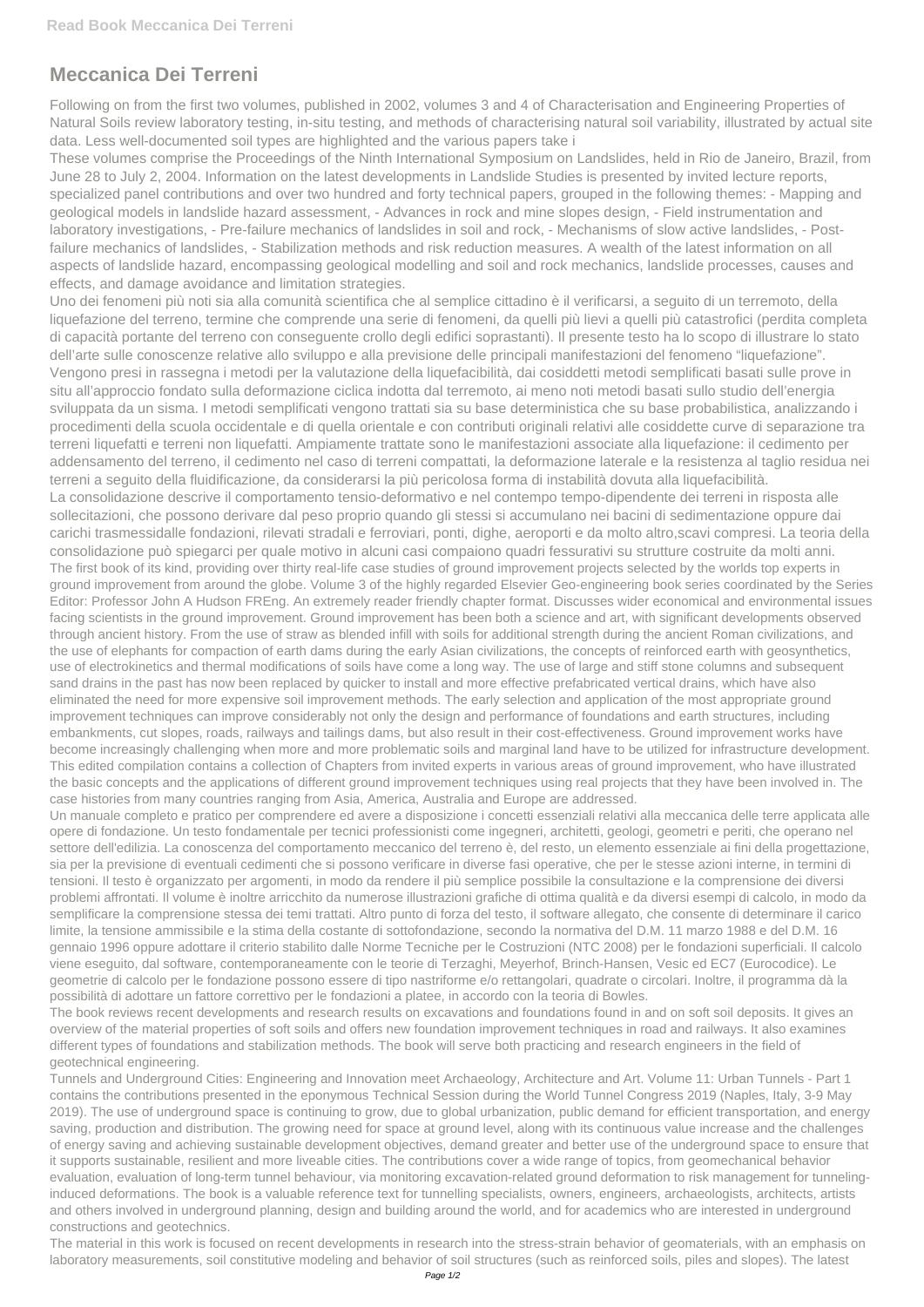## **Meccanica Dei Terreni**

Following on from the first two volumes, published in 2002, volumes 3 and 4 of Characterisation and Engineering Properties of Natural Soils review laboratory testing, in-situ testing, and methods of characterising natural soil variability, illustrated by actual site data. Less well-documented soil types are highlighted and the various papers take i

These volumes comprise the Proceedings of the Ninth International Symposium on Landslides, held in Rio de Janeiro, Brazil, from June 28 to July 2, 2004. Information on the latest developments in Landslide Studies is presented by invited lecture reports, specialized panel contributions and over two hundred and forty technical papers, grouped in the following themes: - Mapping and geological models in landslide hazard assessment, - Advances in rock and mine slopes design, - Field instrumentation and laboratory investigations, - Pre-failure mechanics of landslides in soil and rock, - Mechanisms of slow active landslides, - Postfailure mechanics of landslides, - Stabilization methods and risk reduction measures. A wealth of the latest information on all aspects of landslide hazard, encompassing geological modelling and soil and rock mechanics, landslide processes, causes and effects, and damage avoidance and limitation strategies.

Uno dei fenomeni più noti sia alla comunità scientifica che al semplice cittadino è il verificarsi, a seguito di un terremoto, della liquefazione del terreno, termine che comprende una serie di fenomeni, da quelli più lievi a quelli più catastrofici (perdita completa di capacità portante del terreno con conseguente crollo degli edifici soprastanti). Il presente testo ha lo scopo di illustrare lo stato dell'arte sulle conoscenze relative allo sviluppo e alla previsione delle principali manifestazioni del fenomeno "liquefazione". Vengono presi in rassegna i metodi per la valutazione della liquefacibilità, dai cosiddetti metodi semplificati basati sulle prove in situ all'approccio fondato sulla deformazione ciclica indotta dal terremoto, ai meno noti metodi basati sullo studio dell'energia sviluppata da un sisma. I metodi semplificati vengono trattati sia su base deterministica che su base probabilistica, analizzando i procedimenti della scuola occidentale e di quella orientale e con contributi originali relativi alle cosiddette curve di separazione tra terreni liquefatti e terreni non liquefatti. Ampiamente trattate sono le manifestazioni associate alla liquefazione: il cedimento per addensamento del terreno, il cedimento nel caso di terreni compattati, la deformazione laterale e la resistenza al taglio residua nei terreni a seguito della fluidificazione, da considerarsi la più pericolosa forma di instabilità dovuta alla liquefacibilità. La consolidazione descrive il comportamento tensio-deformativo e nel contempo tempo-dipendente dei terreni in risposta alle sollecitazioni, che possono derivare dal peso proprio quando gli stessi si accumulano nei bacini di sedimentazione oppure dai carichi trasmessidalle fondazioni, rilevati stradali e ferroviari, ponti, dighe, aeroporti e da molto altro,scavi compresi. La teoria della consolidazione può spiegarci per quale motivo in alcuni casi compaiono quadri fessurativi su strutture costruite da molti anni. The first book of its kind, providing over thirty real-life case studies of ground improvement projects selected by the worlds top experts in ground improvement from around the globe. Volume 3 of the highly regarded Elsevier Geo-engineering book series coordinated by the Series Editor: Professor John A Hudson FREng. An extremely reader friendly chapter format. Discusses wider economical and environmental issues facing scientists in the ground improvement. Ground improvement has been both a science and art, with significant developments observed through ancient history. From the use of straw as blended infill with soils for additional strength during the ancient Roman civilizations, and the use of elephants for compaction of earth dams during the early Asian civilizations, the concepts of reinforced earth with geosynthetics, use of electrokinetics and thermal modifications of soils have come a long way. The use of large and stiff stone columns and subsequent sand drains in the past has now been replaced by quicker to install and more effective prefabricated vertical drains, which have also eliminated the need for more expensive soil improvement methods. The early selection and application of the most appropriate ground

improvement techniques can improve considerably not only the design and performance of foundations and earth structures, including embankments, cut slopes, roads, railways and tailings dams, but also result in their cost-effectiveness. Ground improvement works have become increasingly challenging when more and more problematic soils and marginal land have to be utilized for infrastructure development. This edited compilation contains a collection of Chapters from invited experts in various areas of ground improvement, who have illustrated the basic concepts and the applications of different ground improvement techniques using real projects that they have been involved in. The case histories from many countries ranging from Asia, America, Australia and Europe are addressed.

Un manuale completo e pratico per comprendere ed avere a disposizione i concetti essenziali relativi alla meccanica delle terre applicata alle opere di fondazione. Un testo fondamentale per tecnici professionisti come ingegneri, architetti, geologi, geometri e periti, che operano nel settore dell'edilizia. La conoscenza del comportamento meccanico del terreno è, del resto, un elemento essenziale ai fini della progettazione, sia per la previsione di eventuali cedimenti che si possono verificare in diverse fasi operative, che per le stesse azioni interne, in termini di tensioni. Il testo è organizzato per argomenti, in modo da rendere il più semplice possibile la consultazione e la comprensione dei diversi problemi affrontati. Il volume è inoltre arricchito da numerose illustrazioni grafiche di ottima qualità e da diversi esempi di calcolo, in modo da semplificare la comprensione stessa dei temi trattati. Altro punto di forza del testo, il software allegato, che consente di determinare il carico limite, la tensione ammissibile e la stima della costante di sottofondazione, secondo la normativa del D.M. 11 marzo 1988 e del D.M. 16 gennaio 1996 oppure adottare il criterio stabilito dalle Norme Tecniche per le Costruzioni (NTC 2008) per le fondazioni superficiali. Il calcolo viene eseguito, dal software, contemporaneamente con le teorie di Terzaghi, Meyerhof, Brinch-Hansen, Vesic ed EC7 (Eurocodice). Le geometrie di calcolo per le fondazione possono essere di tipo nastriforme e/o rettangolari, quadrate o circolari. Inoltre, il programma dà la

possibilità di adottare un fattore correttivo per le fondazioni a platee, in accordo con la teoria di Bowles.

The book reviews recent developments and research results on excavations and foundations found in and on soft soil deposits. It gives an overview of the material properties of soft soils and offers new foundation improvement techniques in road and railways. It also examines different types of foundations and stabilization methods. The book will serve both practicing and research engineers in the field of geotechnical engineering.

Tunnels and Underground Cities: Engineering and Innovation meet Archaeology, Architecture and Art. Volume 11: Urban Tunnels - Part 1 contains the contributions presented in the eponymous Technical Session during the World Tunnel Congress 2019 (Naples, Italy, 3-9 May 2019). The use of underground space is continuing to grow, due to global urbanization, public demand for efficient transportation, and energy saving, production and distribution. The growing need for space at ground level, along with its continuous value increase and the challenges of energy saving and achieving sustainable development objectives, demand greater and better use of the underground space to ensure that it supports sustainable, resilient and more liveable cities. The contributions cover a wide range of topics, from geomechanical behavior evaluation, evaluation of long-term tunnel behaviour, via monitoring excavation-related ground deformation to risk management for tunnelinginduced deformations. The book is a valuable reference text for tunnelling specialists, owners, engineers, archaeologists, architects, artists and others involved in underground planning, design and building around the world, and for academics who are interested in underground constructions and geotechnics.

The material in this work is focused on recent developments in research into the stress-strain behavior of geomaterials, with an emphasis on laboratory measurements, soil constitutive modeling and behavior of soil structures (such as reinforced soils, piles and slopes). The latest